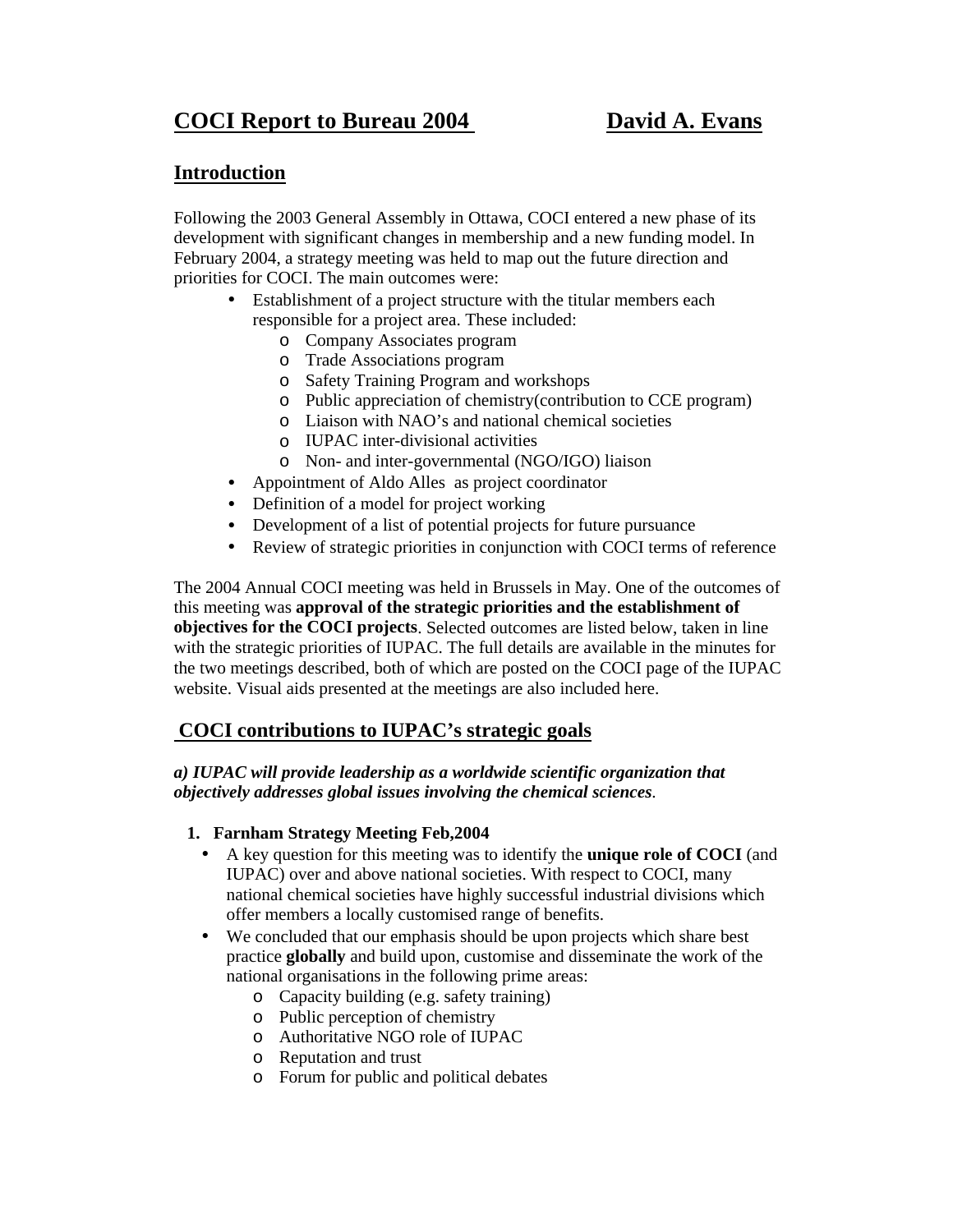# **COCI Report to Bureau 2004 David A. Evans**

# **Introduction**

Following the 2003 General Assembly in Ottawa, COCI entered a new phase of its development with significant changes in membership and a new funding model. In February 2004, a strategy meeting was held to map out the future direction and priorities for COCI. The main outcomes were:

- Establishment of a project structure with the titular members each responsible for a project area. These included:
	- o Company Associates program
	- o Trade Associations program
	- o Safety Training Program and workshops
	- o Public appreciation of chemistry(contribution to CCE program)
	- o Liaison with NAO's and national chemical societies
	- o IUPAC inter-divisional activities
	- o Non- and inter-governmental (NGO/IGO) liaison
- Appointment of Aldo Alles as project coordinator
- Definition of a model for project working
- Development of a list of potential projects for future pursuance
- Review of strategic priorities in conjunction with COCI terms of reference

The 2004 Annual COCI meeting was held in Brussels in May. One of the outcomes of this meeting was **approval of the strategic priorities and the establishment of objectives for the COCI projects**. Selected outcomes are listed below, taken in line with the strategic priorities of IUPAC. The full details are available in the minutes for the two meetings described, both of which are posted on the COCI page of the IUPAC website. Visual aids presented at the meetings are also included here.

# **COCI contributions to IUPAC's strategic goals**

# *a) IUPAC will provide leadership as a worldwide scientific organization that objectively addresses global issues involving the chemical sciences.*

#### **1. Farnham Strategy Meeting Feb,2004**

- A key question for this meeting was to identify the **unique role of COCI** (and IUPAC) over and above national societies. With respect to COCI, many national chemical societies have highly successful industrial divisions which offer members a locally customised range of benefits.
- We concluded that our emphasis should be upon projects which share best practice **globally** and build upon, customise and disseminate the work of the national organisations in the following prime areas:
	- o Capacity building (e.g. safety training)
	- o Public perception of chemistry
	- o Authoritative NGO role of IUPAC
	- o Reputation and trust
	- o Forum for public and political debates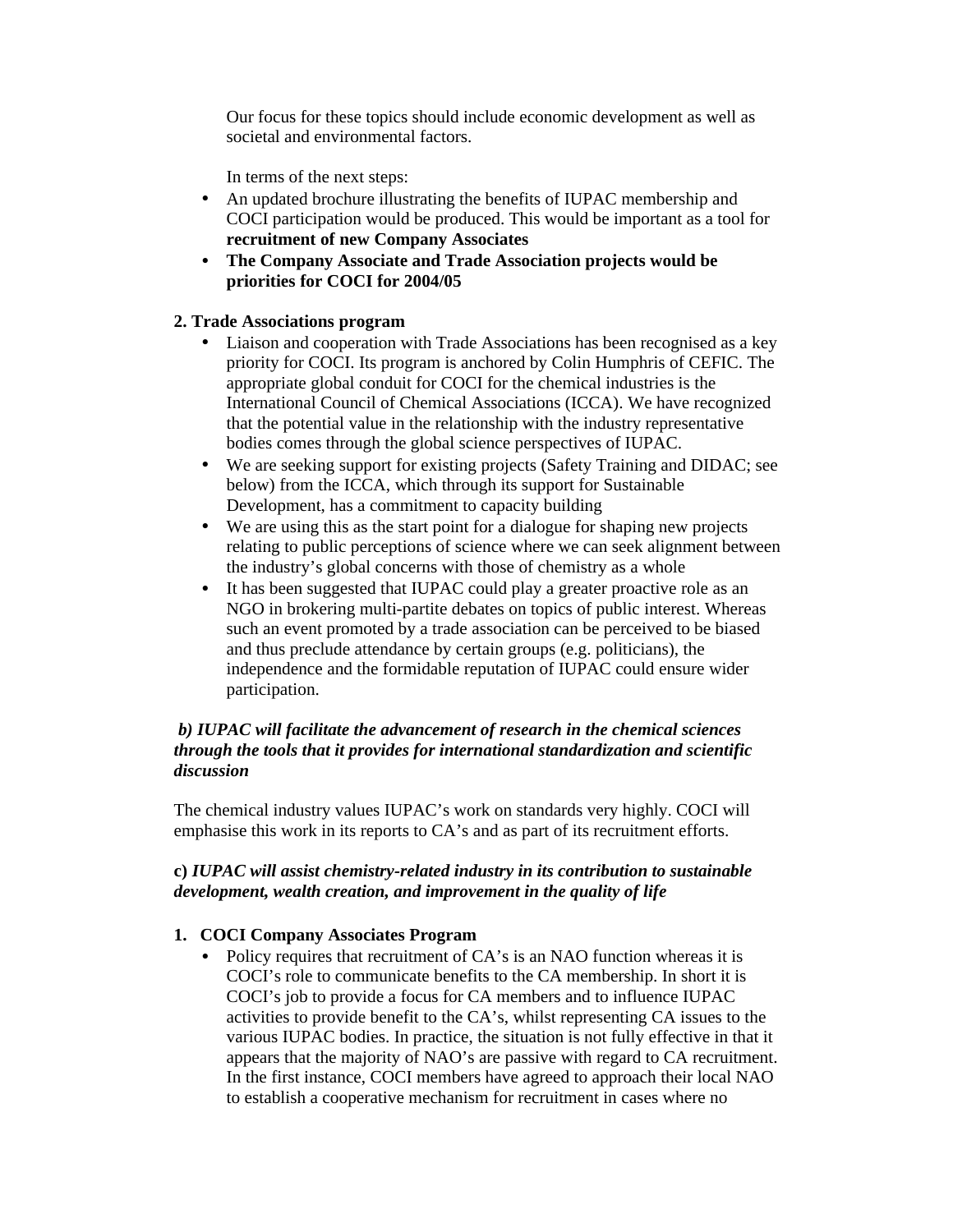Our focus for these topics should include economic development as well as societal and environmental factors.

In terms of the next steps:

- An updated brochure illustrating the benefits of IUPAC membership and COCI participation would be produced. This would be important as a tool for **recruitment of new Company Associates**
- **The Company Associate and Trade Association projects would be priorities for COCI for 2004/05**

### **2. Trade Associations program**

- Liaison and cooperation with Trade Associations has been recognised as a key priority for COCI. Its program is anchored by Colin Humphris of CEFIC. The appropriate global conduit for COCI for the chemical industries is the International Council of Chemical Associations (ICCA). We have recognized that the potential value in the relationship with the industry representative bodies comes through the global science perspectives of IUPAC.
- We are seeking support for existing projects (Safety Training and DIDAC; see below) from the ICCA, which through its support for Sustainable Development, has a commitment to capacity building
- We are using this as the start point for a dialogue for shaping new projects relating to public perceptions of science where we can seek alignment between the industry's global concerns with those of chemistry as a whole
- It has been suggested that IUPAC could play a greater proactive role as an NGO in brokering multi-partite debates on topics of public interest. Whereas such an event promoted by a trade association can be perceived to be biased and thus preclude attendance by certain groups (e.g. politicians), the independence and the formidable reputation of IUPAC could ensure wider participation.

#### *b) IUPAC will facilitate the advancement of research in the chemical sciences through the tools that it provides for international standardization and scientific discussion*

The chemical industry values IUPAC's work on standards very highly. COCI will emphasise this work in its reports to CA's and as part of its recruitment efforts.

### **c)** *IUPAC will assist chemistry-related industry in its contribution to sustainable development, wealth creation, and improvement in the quality of life*

#### **1. COCI Company Associates Program**

• Policy requires that recruitment of CA's is an NAO function whereas it is COCI's role to communicate benefits to the CA membership. In short it is COCI's job to provide a focus for CA members and to influence IUPAC activities to provide benefit to the CA's, whilst representing CA issues to the various IUPAC bodies. In practice, the situation is not fully effective in that it appears that the majority of NAO's are passive with regard to CA recruitment. In the first instance, COCI members have agreed to approach their local NAO to establish a cooperative mechanism for recruitment in cases where no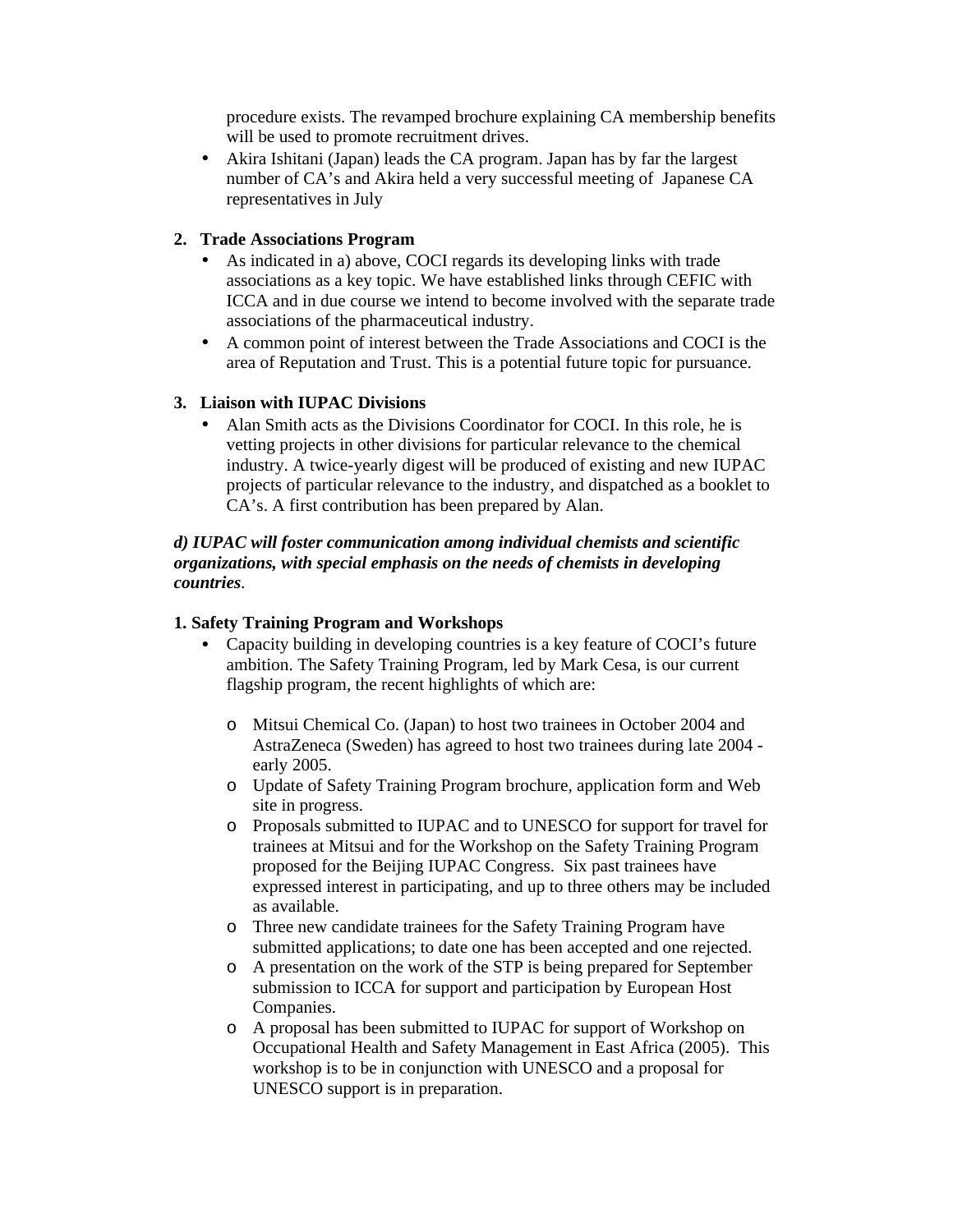procedure exists. The revamped brochure explaining CA membership benefits will be used to promote recruitment drives.

• Akira Ishitani (Japan) leads the CA program. Japan has by far the largest number of CA's and Akira held a very successful meeting of Japanese CA representatives in July

#### **2. Trade Associations Program**

- As indicated in a) above, COCI regards its developing links with trade associations as a key topic. We have established links through CEFIC with ICCA and in due course we intend to become involved with the separate trade associations of the pharmaceutical industry.
- A common point of interest between the Trade Associations and COCI is the area of Reputation and Trust. This is a potential future topic for pursuance.

#### **3. Liaison with IUPAC Divisions**

• Alan Smith acts as the Divisions Coordinator for COCI. In this role, he is vetting projects in other divisions for particular relevance to the chemical industry. A twice-yearly digest will be produced of existing and new IUPAC projects of particular relevance to the industry, and dispatched as a booklet to CA's. A first contribution has been prepared by Alan.

#### *d) IUPAC will foster communication among individual chemists and scientific organizations, with special emphasis on the needs of chemists in developing countries.*

#### **1. Safety Training Program and Workshops**

- Capacity building in developing countries is a key feature of COCI's future ambition. The Safety Training Program, led by Mark Cesa, is our current flagship program, the recent highlights of which are:
	- o Mitsui Chemical Co. (Japan) to host two trainees in October 2004 and AstraZeneca (Sweden) has agreed to host two trainees during late 2004 early 2005.
	- o Update of Safety Training Program brochure, application form and Web site in progress.
	- o Proposals submitted to IUPAC and to UNESCO for support for travel for trainees at Mitsui and for the Workshop on the Safety Training Program proposed for the Beijing IUPAC Congress. Six past trainees have expressed interest in participating, and up to three others may be included as available.
	- o Three new candidate trainees for the Safety Training Program have submitted applications; to date one has been accepted and one rejected.
	- o A presentation on the work of the STP is being prepared for September submission to ICCA for support and participation by European Host Companies.
	- o A proposal has been submitted to IUPAC for support of Workshop on Occupational Health and Safety Management in East Africa (2005). This workshop is to be in conjunction with UNESCO and a proposal for UNESCO support is in preparation.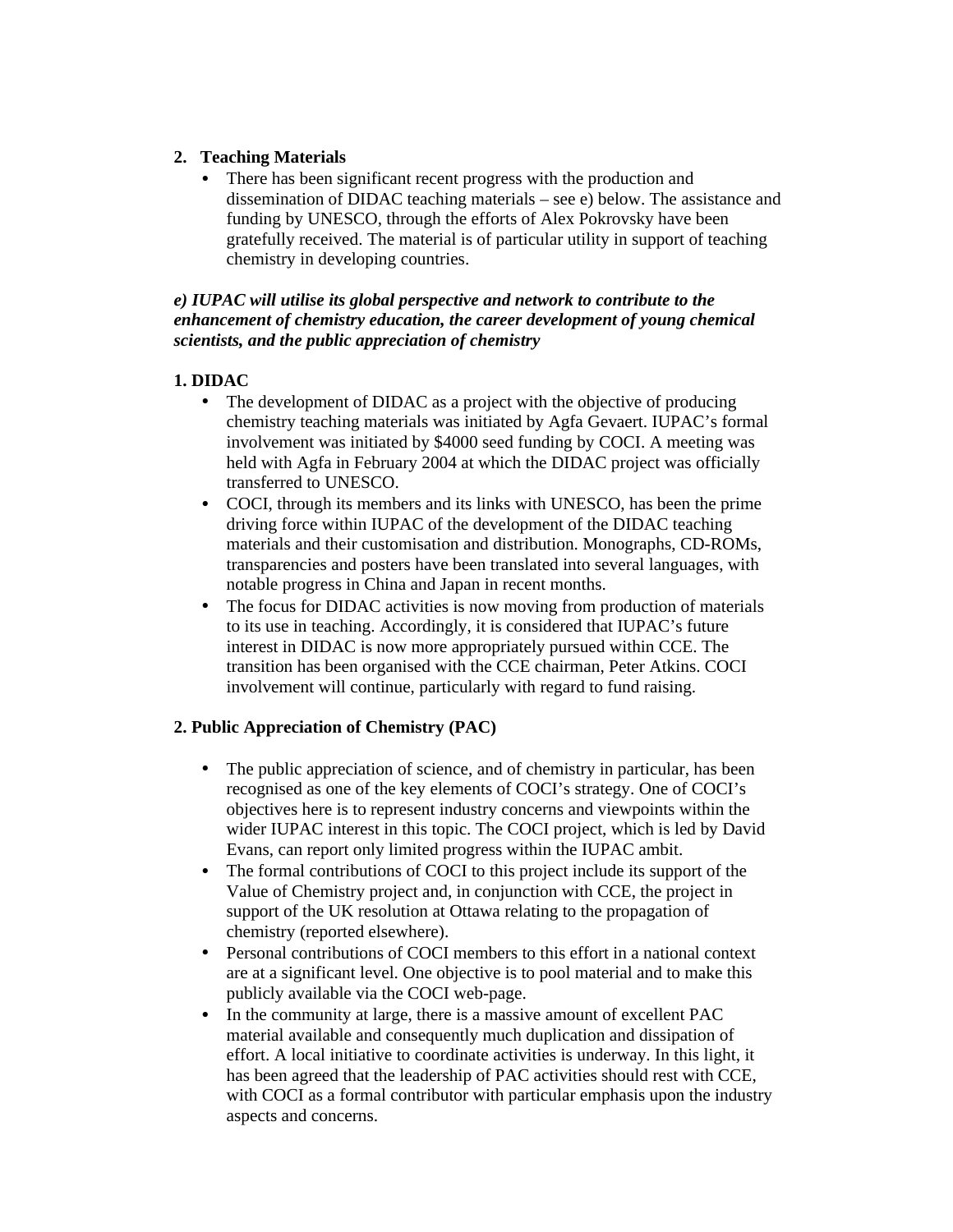# **2. Teaching Materials**

There has been significant recent progress with the production and dissemination of DIDAC teaching materials – see e) below. The assistance and funding by UNESCO, through the efforts of Alex Pokrovsky have been gratefully received. The material is of particular utility in support of teaching chemistry in developing countries.

*e) IUPAC will utilise its global perspective and network to contribute to the enhancement of chemistry education, the career development of young chemical scientists, and the public appreciation of chemistry*

# **1. DIDAC**

- The development of DIDAC as a project with the objective of producing chemistry teaching materials was initiated by Agfa Gevaert. IUPAC's formal involvement was initiated by \$4000 seed funding by COCI. A meeting was held with Agfa in February 2004 at which the DIDAC project was officially transferred to UNESCO.
- COCI, through its members and its links with UNESCO, has been the prime driving force within IUPAC of the development of the DIDAC teaching materials and their customisation and distribution. Monographs, CD-ROMs, transparencies and posters have been translated into several languages, with notable progress in China and Japan in recent months.
- The focus for DIDAC activities is now moving from production of materials to its use in teaching. Accordingly, it is considered that IUPAC's future interest in DIDAC is now more appropriately pursued within CCE. The transition has been organised with the CCE chairman, Peter Atkins. COCI involvement will continue, particularly with regard to fund raising.

# **2. Public Appreciation of Chemistry (PAC)**

- The public appreciation of science, and of chemistry in particular, has been recognised as one of the key elements of COCI's strategy. One of COCI's objectives here is to represent industry concerns and viewpoints within the wider IUPAC interest in this topic. The COCI project, which is led by David Evans, can report only limited progress within the IUPAC ambit.
- The formal contributions of COCI to this project include its support of the Value of Chemistry project and, in conjunction with CCE, the project in support of the UK resolution at Ottawa relating to the propagation of chemistry (reported elsewhere).
- Personal contributions of COCI members to this effort in a national context are at a significant level. One objective is to pool material and to make this publicly available via the COCI web-page.
- In the community at large, there is a massive amount of excellent PAC material available and consequently much duplication and dissipation of effort. A local initiative to coordinate activities is underway. In this light, it has been agreed that the leadership of PAC activities should rest with CCE, with COCI as a formal contributor with particular emphasis upon the industry aspects and concerns.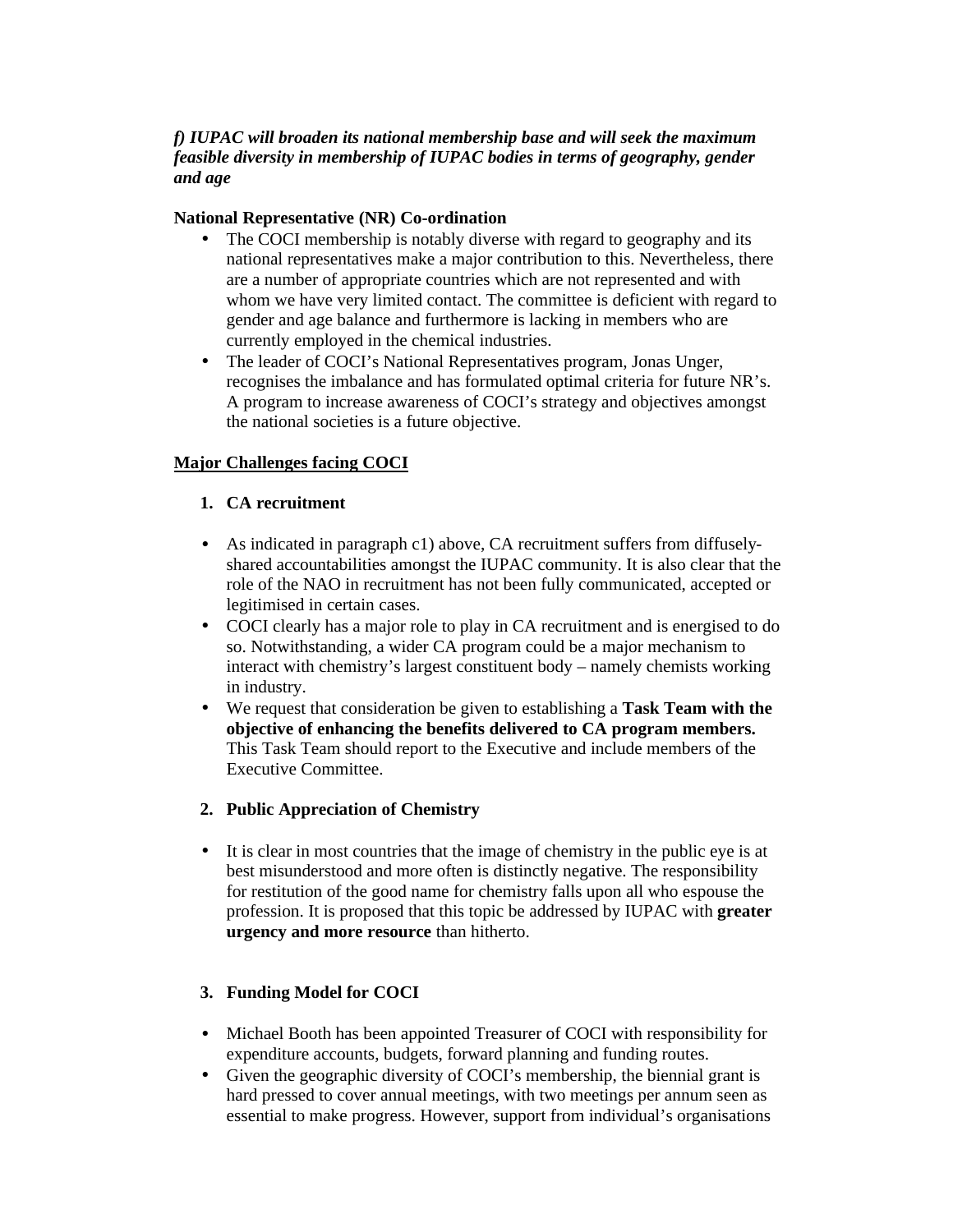# *f) IUPAC will broaden its national membership base and will seek the maximum feasible diversity in membership of IUPAC bodies in terms of geography, gender and age*

## **National Representative (NR) Co-ordination**

- The COCI membership is notably diverse with regard to geography and its national representatives make a major contribution to this. Nevertheless, there are a number of appropriate countries which are not represented and with whom we have very limited contact. The committee is deficient with regard to gender and age balance and furthermore is lacking in members who are currently employed in the chemical industries.
- The leader of COCI's National Representatives program, Jonas Unger, recognises the imbalance and has formulated optimal criteria for future NR's. A program to increase awareness of COCI's strategy and objectives amongst the national societies is a future objective.

# **Major Challenges facing COCI**

# **1. CA recruitment**

- As indicated in paragraph c1) above, CA recruitment suffers from diffuselyshared accountabilities amongst the IUPAC community. It is also clear that the role of the NAO in recruitment has not been fully communicated, accepted or legitimised in certain cases.
- COCI clearly has a major role to play in CA recruitment and is energised to do so. Notwithstanding, a wider CA program could be a major mechanism to interact with chemistry's largest constituent body – namely chemists working in industry.
- We request that consideration be given to establishing a **Task Team with the objective of enhancing the benefits delivered to CA program members.** This Task Team should report to the Executive and include members of the Executive Committee.

# **2. Public Appreciation of Chemistry**

• It is clear in most countries that the image of chemistry in the public eye is at best misunderstood and more often is distinctly negative. The responsibility for restitution of the good name for chemistry falls upon all who espouse the profession. It is proposed that this topic be addressed by IUPAC with **greater urgency and more resource** than hitherto.

# **3. Funding Model for COCI**

- Michael Booth has been appointed Treasurer of COCI with responsibility for expenditure accounts, budgets, forward planning and funding routes.
- Given the geographic diversity of COCI's membership, the biennial grant is hard pressed to cover annual meetings, with two meetings per annum seen as essential to make progress. However, support from individual's organisations